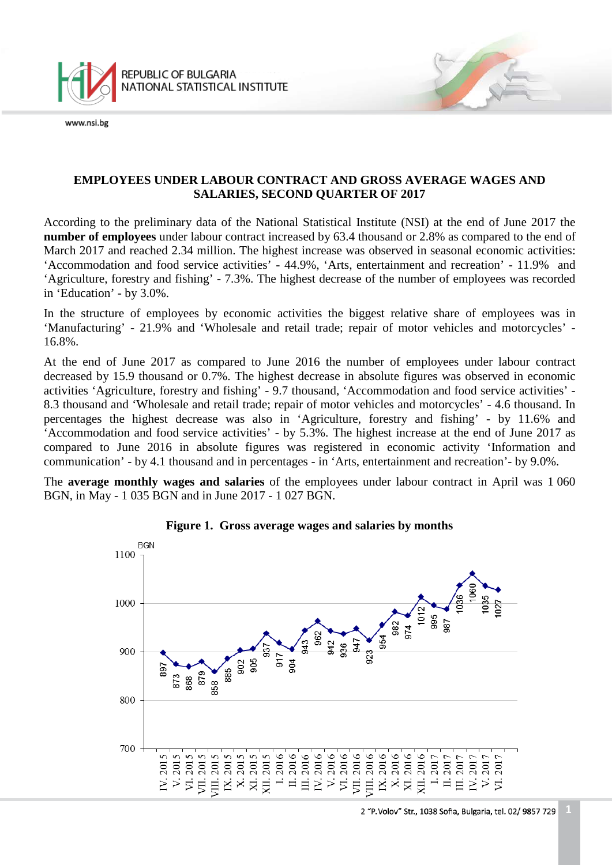

# **EMPLOYEES UNDER LABOUR CONTRACT AND GROSS AVERAGE WAGES AND SALARIES, SECOND QUARTER OF 2017**

According to the preliminary data of the National Statistical Institute (NSI) at the end of June 2017 the **number of employees** under labour contract increased by 63.4 thousand or 2.8% as compared to the end of March 2017 and reached 2.34 million. The highest increase was observed in seasonal economic activities: 'Accommodation and food service activities' - 44.9%, 'Arts, entertainment and recreation' - 11.9% and 'Agriculture, forestry and fishing' - 7.3%. The highest decrease of the number of employees was recorded in 'Education' - by 3.0%.

In the structure of employees by economic activities the biggest relative share of employees was in 'Manufacturing' - 21.9% and 'Wholesale and retail trade; repair of motor vehicles and motorcycles' - 16.8%.

At the end of June 2017 as compared to June 2016 the number of employees under labour contract decreased by 15.9 thousand or 0.7%. The highest decrease in absolute figures was observed in economic activities 'Agriculture, forestry and fishing' - 9.7 thousand, 'Accommodation and food service activities' - 8.3 thousand and 'Wholesale and retail trade; repair of motor vehicles and motorcycles' - 4.6 thousand. In percentages the highest decrease was also in 'Agriculture, forestry and fishing' - by 11.6% and 'Accommodation and food service activities' - by 5.3%. The highest increase at the end of June 2017 as compared to June 2016 in absolute figures was registered in economic activity 'Information and communication' - by 4.1 thousand and in percentages - in 'Arts, entertainment and recreation'- by 9.0%.

The **average monthly wages and salaries** of the employees under labour contract in April was 1 060 BGN, in May - 1 035 BGN and in June 2017 - 1 027 BGN.



**Figure 1. Gross average wages and salaries by months**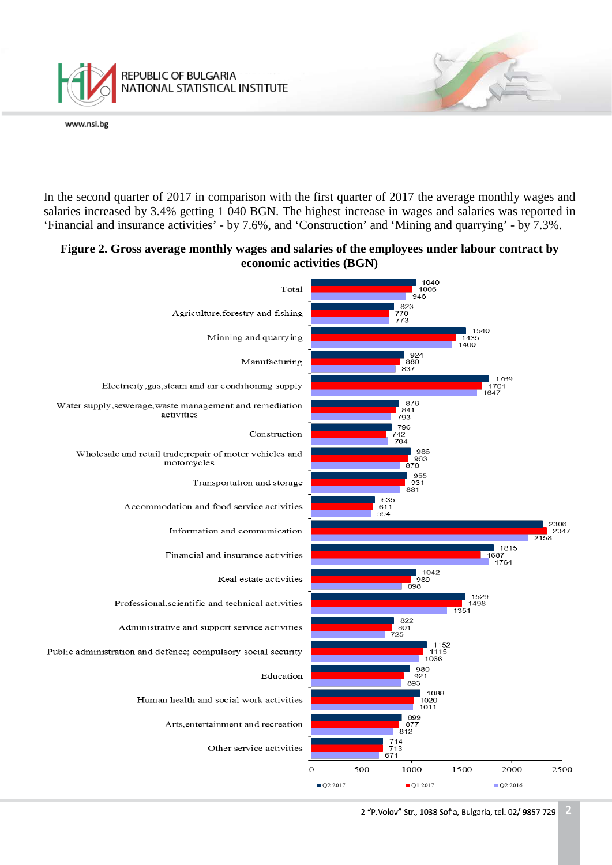

In the second quarter of 2017 in comparison with the first quarter of 2017 the average monthly wages and salaries increased by 3.4% getting 1 040 BGN. The highest increase in wages and salaries was reported in 'Financial and insurance activities' - by 7.6%, and 'Construction' and 'Mining and quarrying' - by 7.3%.

#### **Figure 2. Gross average monthly wages and salaries of the employees under labour contract by economic activities (BGN)**

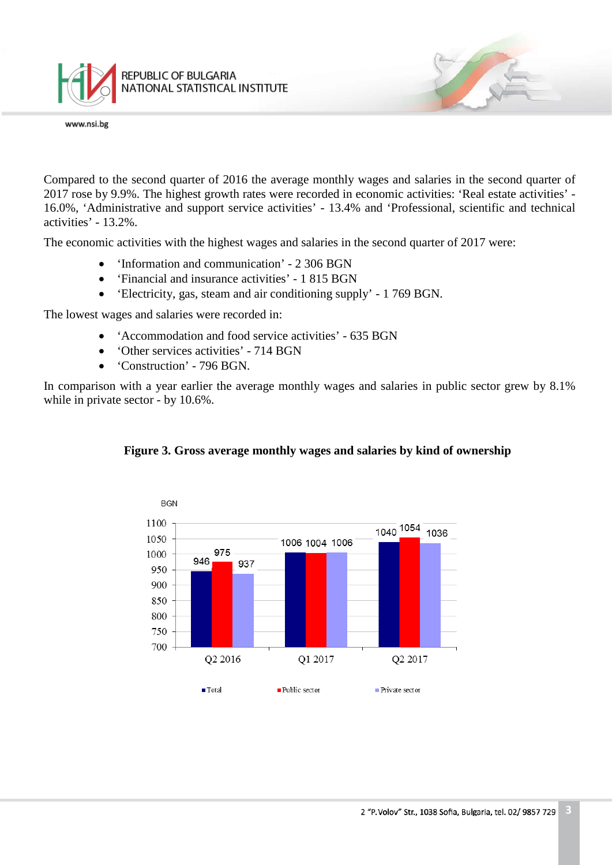

Compared to the second quarter of 2016 the average monthly wages and salaries in the second quarter of 2017 rose by 9.9%. The highest growth rates were recorded in economic activities: 'Real estate activities' - 16.0%, 'Administrative and support service activities' - 13.4% and 'Professional, scientific and technical activities' - 13.2%.

The economic activities with the highest wages and salaries in the second quarter of 2017 were:

- 'Information and communication' 2 306 BGN
- 'Financial and insurance activities' 1815 BGN
- 'Electricity, gas, steam and air conditioning supply' 1 769 BGN.

The lowest wages and salaries were recorded in:

- 'Accommodation and food service activities' 635 BGN
- 'Other services activities' 714 BGN
- 'Construction' 796 BGN.

In comparison with a year earlier the average monthly wages and salaries in public sector grew by 8.1% while in private sector - by 10.6%.



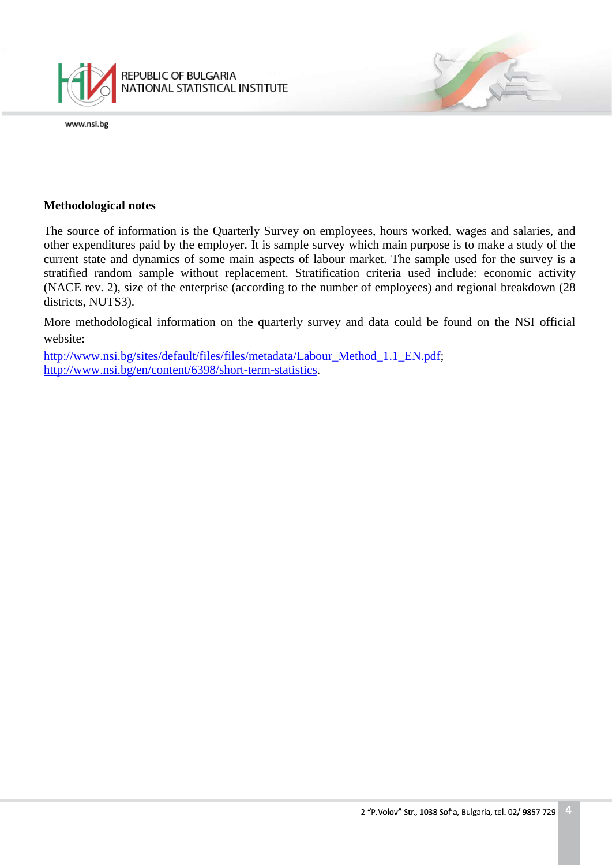

#### **Methodological notes**

The source of information is the Quarterly Survey on employees, hours worked, wages and salaries, and other expenditures paid by the employer. It is sample survey which main purpose is to make a study of the current state and dynamics of some main aspects of labour market. The sample used for the survey is a stratified random sample without replacement. Stratification criteria used include: economic activity (NACE rev. 2), size of the enterprise (according to the number of employees) and regional breakdown (28 districts, NUTS3).

More methodological information on the quarterly survey and data could be found on the NSI official website:

[http://www.nsi.bg/sites/default/files/files/metadata/Labour\\_Method\\_1.1\\_EN.pdf;](http://www.nsi.bg/sites/default/files/files/metadata/Labour_Method_1.1_EN.pdf) [http://www.nsi.bg/en/content/6398/short-term-statistics.](http://www.nsi.bg/en/content/6398/short-term-statistics)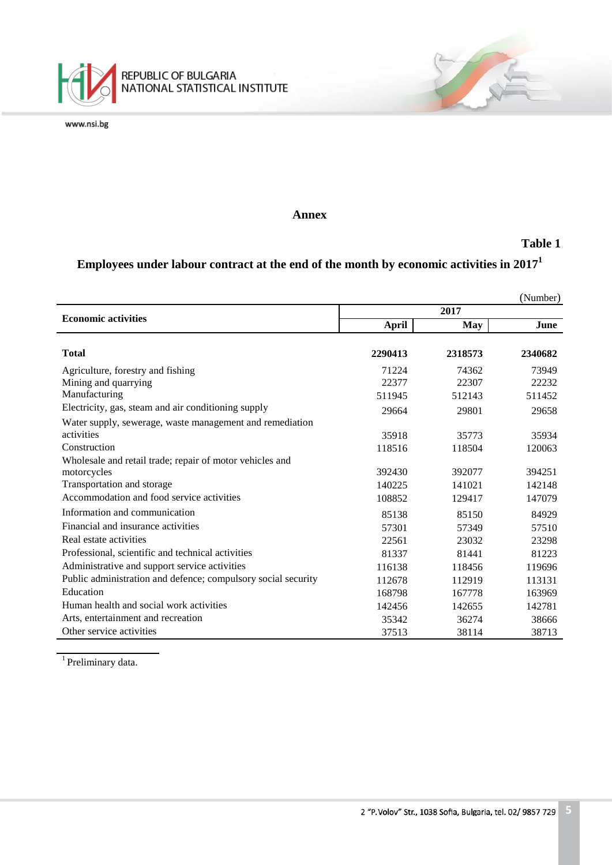

# **Annex**

# **Table 1**

# **Employees under labour contract at the end of the month by economic activities in 20171**

|                                                               |              |            | (Number) |
|---------------------------------------------------------------|--------------|------------|----------|
| <b>Economic activities</b>                                    | 2017         |            |          |
|                                                               | <b>April</b> | <b>May</b> | June     |
|                                                               |              |            |          |
| <b>Total</b>                                                  | 2290413      | 2318573    | 2340682  |
| Agriculture, forestry and fishing                             | 71224        | 74362      | 73949    |
| Mining and quarrying                                          | 22377        | 22307      | 22232    |
| Manufacturing                                                 | 511945       | 512143     | 511452   |
| Electricity, gas, steam and air conditioning supply           | 29664        | 29801      | 29658    |
| Water supply, sewerage, waste management and remediation      |              |            |          |
| activities                                                    | 35918        | 35773      | 35934    |
| Construction                                                  | 118516       | 118504     | 120063   |
| Wholesale and retail trade; repair of motor vehicles and      |              |            |          |
| motorcycles                                                   | 392430       | 392077     | 394251   |
| Transportation and storage                                    | 140225       | 141021     | 142148   |
| Accommodation and food service activities                     | 108852       | 129417     | 147079   |
| Information and communication                                 | 85138        | 85150      | 84929    |
| Financial and insurance activities                            | 57301        | 57349      | 57510    |
| Real estate activities                                        | 22561        | 23032      | 23298    |
| Professional, scientific and technical activities             | 81337        | 81441      | 81223    |
| Administrative and support service activities                 | 116138       | 118456     | 119696   |
| Public administration and defence; compulsory social security | 112678       | 112919     | 113131   |
| Education                                                     | 168798       | 167778     | 163969   |
| Human health and social work activities                       | 142456       | 142655     | 142781   |
| Arts, entertainment and recreation                            | 35342        | 36274      | 38666    |
| Other service activities                                      | 37513        | 38114      | 38713    |

<sup>1</sup> Preliminary data.

 $\overline{a}$